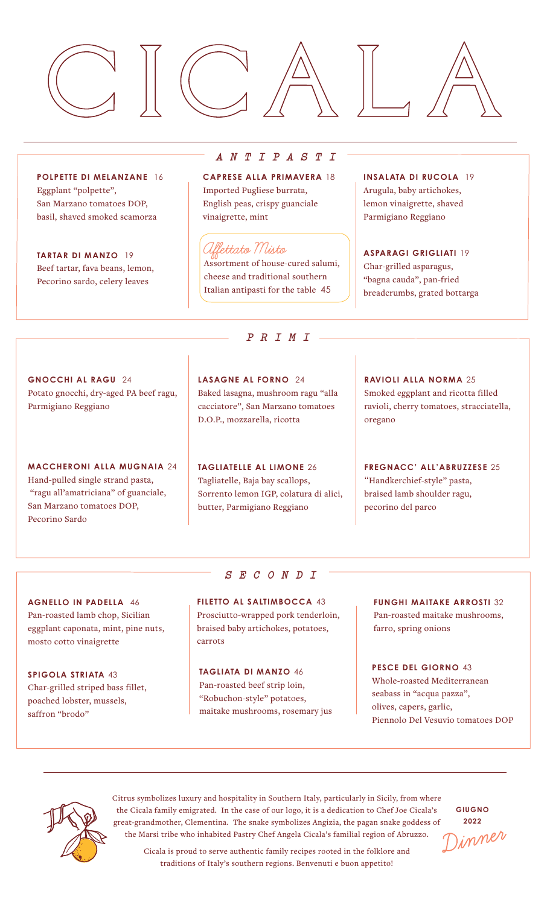

**POLPETTE DI MELANZANE** 16 Eggplant "polpette", San Marzano tomatoes DOP, basil, shaved smoked scamorza

**TARTAR DI MANZO** 19 Beef tartar, fava beans, lemon, Pecorino sardo, celery leaves

## *ANTIPASTI*

**CAPRESE ALLA PRIMAVERA** 18 Imported Pugliese burrata, English peas, crispy guanciale vinaigrette, mint

## **Affettato Misto**

Assortment of house-cured salumi, cheese and traditional southern Italian antipasti for the table 45

*PRIMI*

**INSALATA DI RUCOLA** 19 Arugula, baby artichokes, lemon vinaigrette, shaved Parmigiano Reggiano

**ASPARAGI GRIGLIATI** 19 Char-grilled asparagus, "bagna cauda", pan-fried breadcrumbs, grated bottarga

**GNOCCHI AL RAGU** 24 Potato gnocchi, dry-aged PA beef ragu, Parmigiano Reggiano

**MACCHERONI ALLA MUGNAIA** 24 Hand-pulled single strand pasta, "ragu all'amatriciana" of guanciale, San Marzano tomatoes DOP, Pecorino Sardo

**LASAGNE AL FORNO** 24 Baked lasagna, mushroom ragu "alla cacciatore", San Marzano tomatoes D.O.P., mozzarella, ricotta

**TAGLIATELLE AL LIMONE** 26 Tagliatelle, Baja bay scallops, Sorrento lemon IGP, colatura di alici, butter, Parmigiano Reggiano

**RAVIOLI ALLA NORMA** 25 Smoked eggplant and ricotta filled ravioli, cherry tomatoes, stracciatella, oregano

**FREGNACC' ALL'ABRUZZESE** 25 "Handkerchief-style" pasta, braised lamb shoulder ragu, pecorino del parco

**AGNELLO IN PADELLA** 46 Pan-roasted lamb chop, Sicilian eggplant caponata, mint, pine nuts, mosto cotto vinaigrette

**SPIGOLA STRIATA** 43 Char-grilled striped bass fillet, poached lobster, mussels, saffron "brodo"

## *SECONDI*

**FILETTO AL SALTIMBOCCA** 43 Prosciutto-wrapped pork tenderloin, braised baby artichokes, potatoes, carrots

**TAGLIATA DI MANZO** 46 Pan-roasted beef strip loin, "Robuchon-style" potatoes, maitake mushrooms, rosemary jus **FUNGHI MAITAKE ARROSTI** 32 Pan-roasted maitake mushrooms, farro, spring onions

**PESCE DEL GIORNO** 43 Whole-roasted Mediterranean seabass in "acqua pazza", olives, capers, garlic, Piennolo Del Vesuvio tomatoes DOP



Citrus symbolizes luxury and hospitality in Southern Italy, particularly in Sicily, from where the Cicala family emigrated. In the case of our logo, it is a dedication to Chef Joe Cicala's great-grandmother, Clementina. The snake symbolizes Angizia, the pagan snake goddess of the Marsi tribe who inhabited Pastry Chef Angela Cicala's familial region of Abruzzo.

**GIUGNO 2022** inner

Cicala is proud to serve authentic family recipes rooted in the folklore and traditions of Italy's southern regions. Benvenuti e buon appetito!